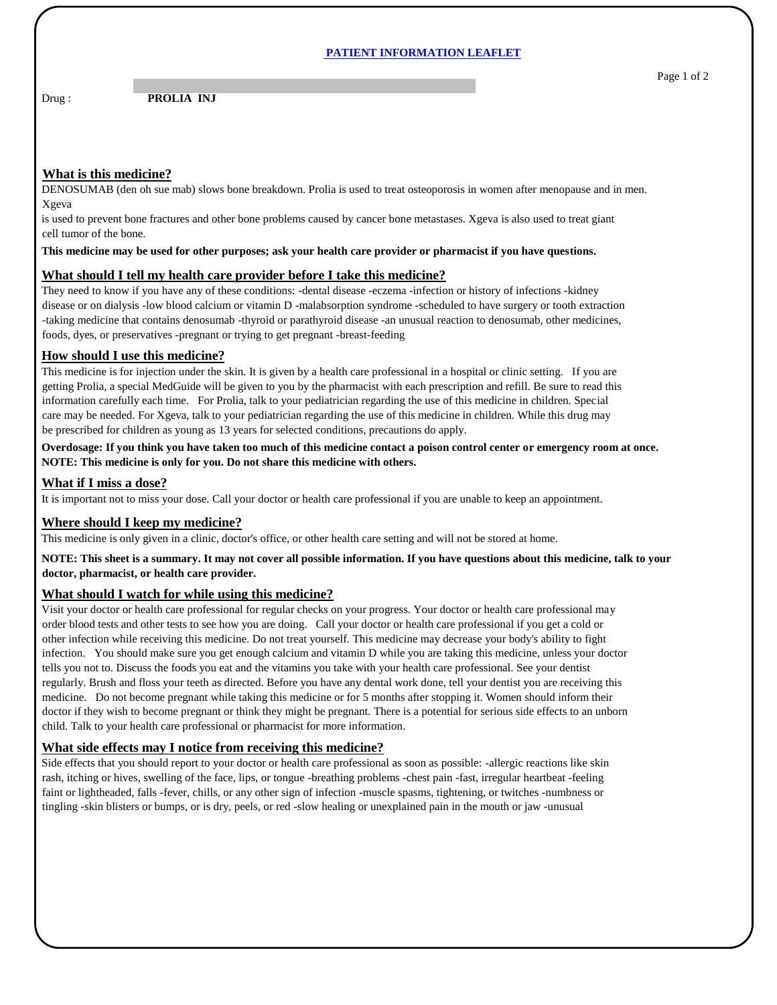#### **PATIENT INFORMATION LEAFLET**

Drug : **PROLIA INJ** 

## **What is this medicine?**

DENOSUMAB (den oh sue mab) slows bone breakdown. Prolia is used to treat osteoporosis in women after menopause and in men. Xgeva

is used to prevent bone fractures and other bone problems caused by cancer bone metastases. Xgeva is also used to treat giant cell tumor of the bone.

**This medicine may be used for other purposes; ask your health care provider or pharmacist if you have questions.**

# **What should I tell my health care provider before I take this medicine?**

They need to know if you have any of these conditions: -dental disease -eczema -infection or history of infections -kidney disease or on dialysis -low blood calcium or vitamin D -malabsorption syndrome -scheduled to have surgery or tooth extraction -taking medicine that contains denosumab -thyroid or parathyroid disease -an unusual reaction to denosumab, other medicines, foods, dyes, or preservatives -pregnant or trying to get pregnant -breast-feeding

### **How should I use this medicine?**

This medicine is for injection under the skin. It is given by a health care professional in a hospital or clinic setting. If you are getting Prolia, a special MedGuide will be given to you by the pharmacist with each prescription and refill. Be sure to read this information carefully each time. For Prolia, talk to your pediatrician regarding the use of this medicine in children. Special care may be needed. For Xgeva, talk to your pediatrician regarding the use of this medicine in children. While this drug may be prescribed for children as young as 13 years for selected conditions, precautions do apply.

**Overdosage: If you think you have taken too much of this medicine contact a poison control center or emergency room at once. NOTE: This medicine is only for you. Do not share this medicine with others.**

#### **What if I miss a dose?**

It is important not to miss your dose. Call your doctor or health care professional if you are unable to keep an appointment.

### **Where should I keep my medicine?**

This medicine is only given in a clinic, doctor's office, or other health care setting and will not be stored at home.

**NOTE: This sheet is a summary. It may not cover all possible information. If you have questions about this medicine, talk to your doctor, pharmacist, or health care provider.**

#### **What should I watch for while using this medicine?**

Visit your doctor or health care professional for regular checks on your progress. Your doctor or health care professional may order blood tests and other tests to see how you are doing. Call your doctor or health care professional if you get a cold or other infection while receiving this medicine. Do not treat yourself. This medicine may decrease your body's ability to fight infection. You should make sure you get enough calcium and vitamin D while you are taking this medicine, unless your doctor tells you not to. Discuss the foods you eat and the vitamins you take with your health care professional. See your dentist regularly. Brush and floss your teeth as directed. Before you have any dental work done, tell your dentist you are receiving this medicine. Do not become pregnant while taking this medicine or for 5 months after stopping it. Women should inform their doctor if they wish to become pregnant or think they might be pregnant. There is a potential for serious side effects to an unborn child. Talk to your health care professional or pharmacist for more information.

# **What side effects may I notice from receiving this medicine?**

Side effects that you should report to your doctor or health care professional as soon as possible: -allergic reactions like skin rash, itching or hives, swelling of the face, lips, or tongue -breathing problems -chest pain -fast, irregular heartbeat -feeling faint or lightheaded, falls -fever, chills, or any other sign of infection -muscle spasms, tightening, or twitches -numbness or tingling -skin blisters or bumps, or is dry, peels, or red -slow healing or unexplained pain in the mouth or jaw -unusual